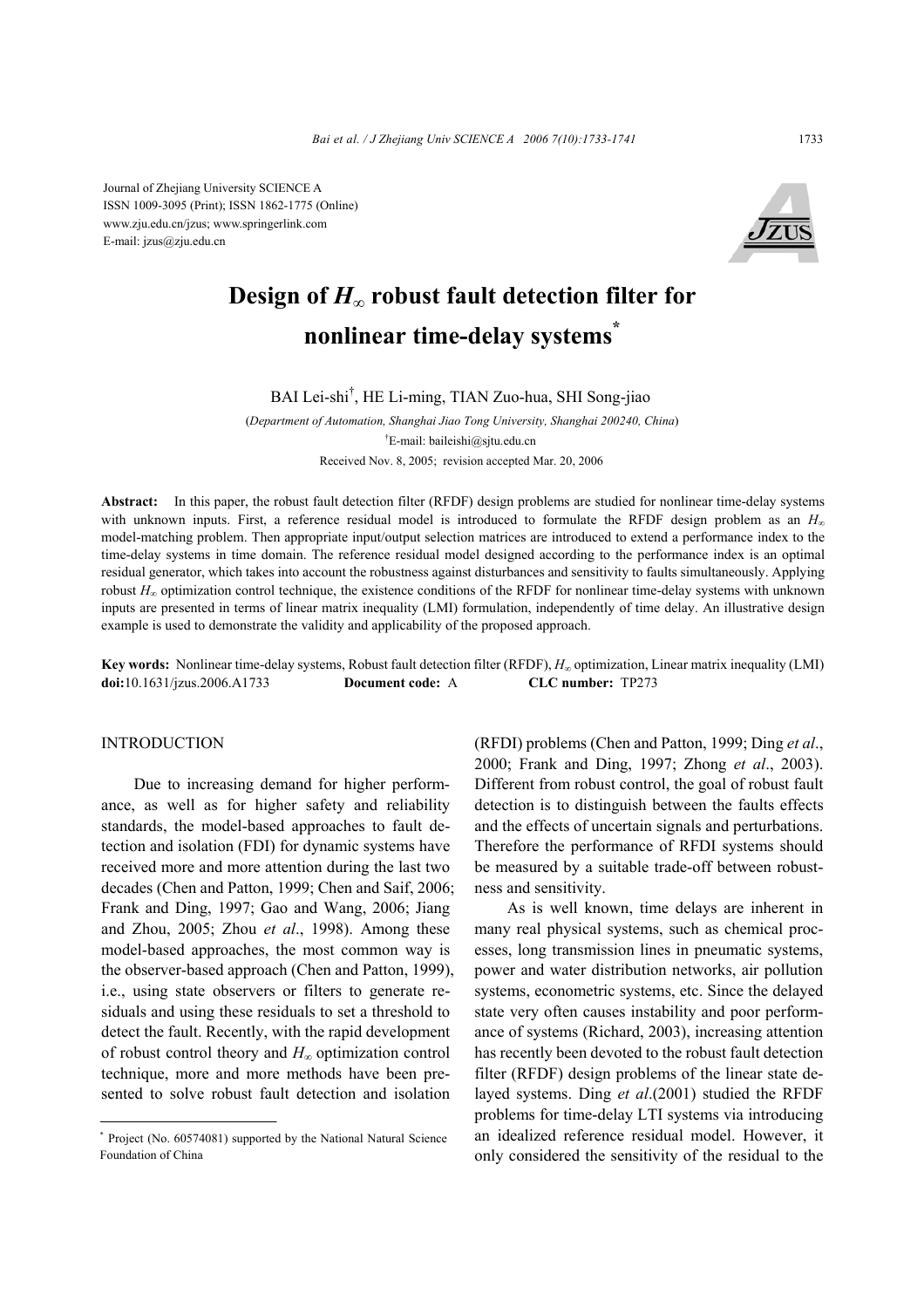Journal of Zhejiang University SCIENCE A ISSN 1009-3095 (Print); ISSN 1862-1775 (Online) www.zju.edu.cn/jzus; www.springerlink.com E-mail: jzus@zju.edu.cn



# **Design of** *H***∞ robust fault detection filter for nonlinear time-delay systems\***

BAI Lei-shi† , HE Li-ming, TIAN Zuo-hua, SHI Song-jiao

(*Department of Automation, Shanghai Jiao Tong University, Shanghai 200240, China*) † E-mail: baileishi@sjtu.edu.cn Received Nov. 8, 2005; revision accepted Mar. 20, 2006

**Abstract:** In this paper, the robust fault detection filter (RFDF) design problems are studied for nonlinear time-delay systems with unknown inputs. First, a reference residual model is introduced to formulate the RFDF design problem as an *H*<sup>∞</sup> model-matching problem. Then appropriate input/output selection matrices are introduced to extend a performance index to the time-delay systems in time domain. The reference residual model designed according to the performance index is an optimal residual generator, which takes into account the robustness against disturbances and sensitivity to faults simultaneously. Applying robust *H*∞ optimization control technique, the existence conditions of the RFDF for nonlinear time-delay systems with unknown inputs are presented in terms of linear matrix inequality (LMI) formulation, independently of time delay. An illustrative design example is used to demonstrate the validity and applicability of the proposed approach.

**Key words:** Nonlinear time-delay systems, Robust fault detection filter (RFDF), *H*∞ optimization, Linear matrix inequality (LMI) **doi:**10.1631/jzus.2006.A1733 **Document code:** A **CLC number:** TP273

# INTRODUCTION

Due to increasing demand for higher performance, as well as for higher safety and reliability standards, the model-based approaches to fault detection and isolation (FDI) for dynamic systems have received more and more attention during the last two decades (Chen and Patton, 1999; Chen and Saif, 2006; Frank and Ding, 1997; Gao and Wang, 2006; Jiang and Zhou, 2005; Zhou *et al*., 1998). Among these model-based approaches, the most common way is the observer-based approach (Chen and Patton, 1999), i.e., using state observers or filters to generate residuals and using these residuals to set a threshold to detect the fault. Recently, with the rapid development of robust control theory and *H*<sup>∞</sup> optimization control technique, more and more methods have been presented to solve robust fault detection and isolation

(RFDI) problems (Chen and Patton, 1999; Ding *et al*., 2000; Frank and Ding, 1997; Zhong *et al*., 2003). Different from robust control, the goal of robust fault detection is to distinguish between the faults effects and the effects of uncertain signals and perturbations. Therefore the performance of RFDI systems should be measured by a suitable trade-off between robustness and sensitivity.

As is well known, time delays are inherent in many real physical systems, such as chemical processes, long transmission lines in pneumatic systems, power and water distribution networks, air pollution systems, econometric systems, etc. Since the delayed state very often causes instability and poor performance of systems (Richard, 2003), increasing attention has recently been devoted to the robust fault detection filter (RFDF) design problems of the linear state delayed systems. Ding *et al*.(2001) studied the RFDF problems for time-delay LTI systems via introducing an idealized reference residual model. However, it only considered the sensitivity of the residual to the

<sup>\*</sup> Project (No. 60574081) supported by the National Natural Science Foundation of China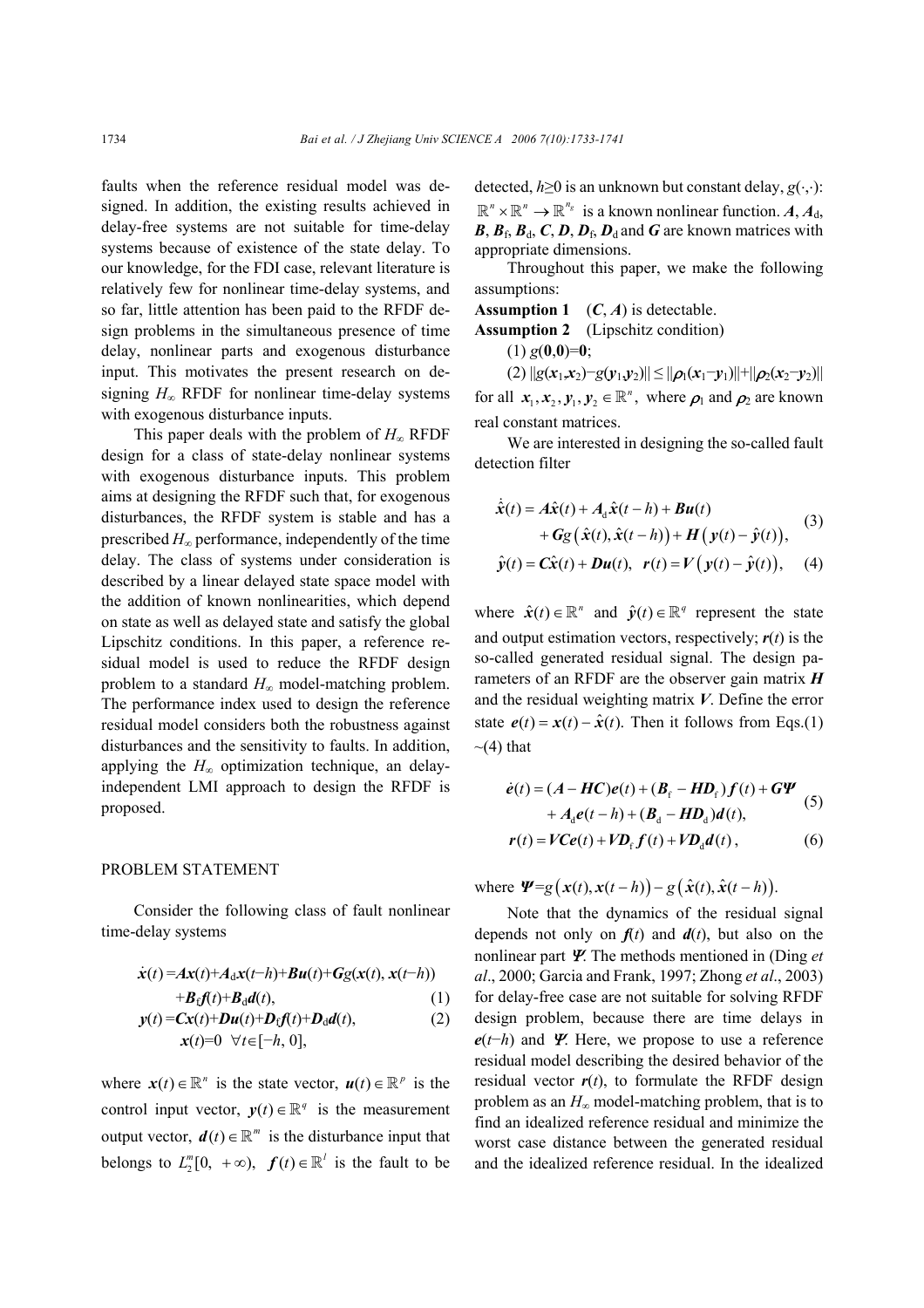faults when the reference residual model was designed. In addition, the existing results achieved in delay-free systems are not suitable for time-delay systems because of existence of the state delay. To our knowledge, for the FDI case, relevant literature is relatively few for nonlinear time-delay systems, and so far, little attention has been paid to the RFDF design problems in the simultaneous presence of time delay, nonlinear parts and exogenous disturbance input. This motivates the present research on designing *H*∞ RFDF for nonlinear time-delay systems with exogenous disturbance inputs.

This paper deals with the problem of *H*∞ RFDF design for a class of state-delay nonlinear systems with exogenous disturbance inputs. This problem aims at designing the RFDF such that, for exogenous disturbances, the RFDF system is stable and has a prescribed  $H_{\infty}$  performance, independently of the time delay. The class of systems under consideration is described by a linear delayed state space model with the addition of known nonlinearities, which depend on state as well as delayed state and satisfy the global Lipschitz conditions. In this paper, a reference residual model is used to reduce the RFDF design problem to a standard  $H_{\infty}$  model-matching problem. The performance index used to design the reference residual model considers both the robustness against disturbances and the sensitivity to faults. In addition, applying the  $H_{\infty}$  optimization technique, an delayindependent LMI approach to design the RFDF is proposed.

## PROBLEM STATEMENT

Consider the following class of fault nonlinear time-delay systems

$$
\dot{x}(t) = Ax(t) + A_d x(t-h) + Bu(t) + Gg(x(t), x(t-h))
$$
  
+
$$
B_t f(t) + B_d d(t),
$$
 (1)

$$
y(t) = Cx(t) + Du(t) + D_{\rm t}f(t) + D_{\rm d}d(t),
$$
  
\n
$$
x(t) = 0 \quad \forall t \in [-h, 0],
$$
\n(2)

where  $\mathbf{x}(t) \in \mathbb{R}^n$  is the state vector,  $\mathbf{u}(t) \in \mathbb{R}^p$  is the control input vector,  $v(t) \in \mathbb{R}^q$  is the measurement output vector,  $d(t) \in \mathbb{R}^m$  is the disturbance input that belongs to  $L_2^m[0, +\infty)$ ,  $f(t) \in \mathbb{R}^l$  is the fault to be detected,  $h \ge 0$  is an unknown but constant delay,  $g(\cdot, \cdot)$ :  $\mathbb{R}^n \times \mathbb{R}^n \to \mathbb{R}^{n_g}$  is a known nonlinear function. *A*, *A*<sub>d</sub>,  $\mathbf{B}, \mathbf{B}_{\text{f}}, \mathbf{B}_{\text{d}}, \mathbf{C}, \mathbf{D}, \mathbf{D}_{\text{f}}, \mathbf{D}_{\text{d}}$  and  $\mathbf{G}$  are known matrices with appropriate dimensions.

Throughout this paper, we make the following assumptions:

**Assumption 1** (*C*, *A*) is detectable.

**Assumption 2** (Lipschitz condition)

 $(1)$   $g(0,0)=0$ ;

 $\ddot{\phantom{a}}$ 

 $||(2)||g(x_1,x_2)-g(y_1,y_2)|| \le ||\rho_1(x_1-y_1)||+||\rho_2(x_2-y_2)||$ for all  $x_1, x_2, y_1, y_2 \in \mathbb{R}^n$ , where  $\rho_1$  and  $\rho_2$  are known real constant matrices.

We are interested in designing the so-called fault detection filter

$$
\hat{\mathbf{x}}(t) = A\hat{\mathbf{x}}(t) + A_{\mathrm{d}}\hat{\mathbf{x}}(t-h) + \mathbf{B}\mathbf{u}(t) \n+ \mathbf{G}g(\hat{\mathbf{x}}(t), \hat{\mathbf{x}}(t-h)) + \mathbf{H}(\mathbf{y}(t) - \hat{\mathbf{y}}(t)),
$$
\n(3)

$$
\hat{\mathbf{y}}(t) = \mathbf{C}\hat{\mathbf{x}}(t) + \mathbf{D}\mathbf{u}(t), \ \mathbf{r}(t) = V(\mathbf{y}(t) - \hat{\mathbf{y}}(t)), \quad (4)
$$

where  $\hat{x}(t) \in \mathbb{R}^n$  and  $\hat{y}(t) \in \mathbb{R}^q$  represent the state and output estimation vectors, respectively;  $r(t)$  is the so-called generated residual signal. The design parameters of an RFDF are the observer gain matrix *H* and the residual weighting matrix *V*. Define the error state  $e(t) = x(t) - \hat{x}(t)$ . Then it follows from Eqs.(1)  $\sim$ (4) that

$$
\dot{e}(t) = (A - HC)e(t) + (B_f - HD_f)f(t) + G\Psi
$$
  
+  $A_d e(t - h) + (B_d - HD_d)d(t)$ ,  

$$
r(t) = VCe(t) + VD_f f(t) + VD_d d(t),
$$
 (6)

where  $\Psi = g(x(t), x(t-h)) - g(\hat{x}(t), \hat{x}(t-h)).$ 

Note that the dynamics of the residual signal depends not only on  $f(t)$  and  $d(t)$ , but also on the nonlinear part Ψ. The methods mentioned in (Ding *et al*., 2000; Garcia and Frank, 1997; Zhong *et al*., 2003) for delay-free case are not suitable for solving RFDF design problem, because there are time delays in *e*(*t*−*h*) and Ψ. Here, we propose to use a reference residual model describing the desired behavior of the residual vector  $r(t)$ , to formulate the RFDF design problem as an  $H_{\infty}$  model-matching problem, that is to find an idealized reference residual and minimize the worst case distance between the generated residual and the idealized reference residual. In the idealized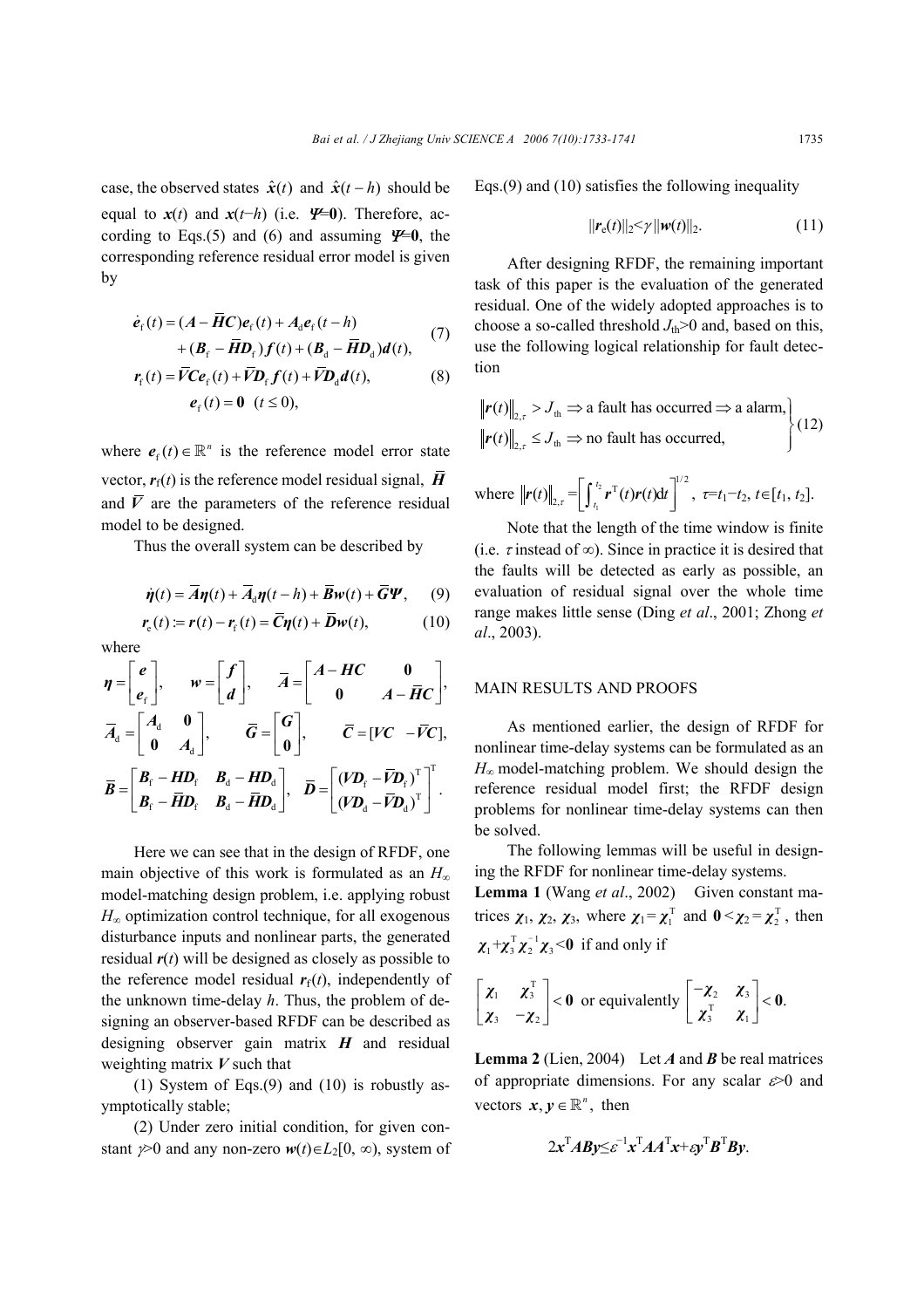case, the observed states  $\hat{x}(t)$  and  $\hat{x}(t-h)$  should be equal to  $x(t)$  and  $x(t-h)$  (i.e.  $\Psi=0$ ). Therefore, according to Eqs.(5) and (6) and assuming  $\Psi=0$ , the corresponding reference residual error model is given by

$$
\dot{\boldsymbol{e}}_{\rm f}(t) = (\boldsymbol{A} - \boldsymbol{\bar{H}} \boldsymbol{C}) \boldsymbol{e}_{\rm f}(t) + \boldsymbol{A}_{\rm d} \boldsymbol{e}_{\rm f}(t - h) \n+ (\boldsymbol{B}_{\rm f} - \boldsymbol{\bar{H}} \boldsymbol{D}_{\rm f}) \boldsymbol{f}(t) + (\boldsymbol{B}_{\rm d} - \boldsymbol{\bar{H}} \boldsymbol{D}_{\rm d}) \boldsymbol{d}(t),
$$
\n(7)

$$
\mathbf{r}_{\mathrm{f}}(t) = \overline{V}C\mathbf{e}_{\mathrm{f}}(t) + \overline{V}\mathbf{D}_{\mathrm{f}}\mathbf{f}(t) + \overline{V}\mathbf{D}_{\mathrm{d}}\mathbf{d}(t),
$$
\n(8)\n  
\n
$$
\mathbf{e}_{\mathrm{f}}(t) = \mathbf{0} \quad (t \le 0),
$$

where  $e_f(t) \in \mathbb{R}^n$  is the reference model error state vector,  $\mathbf{r}_f(t)$  is the reference model residual signal,  $\overline{H}$ and  $\overline{V}$  are the parameters of the reference residual model to be designed.

Thus the overall system can be described by

$$
\dot{\eta}(t) = \overline{A}\eta(t) + \overline{A}_{d}\eta(t-h) + \overline{B}w(t) + \overline{G}\Psi, \quad (9)
$$

$$
\mathbf{r}_{\mathrm{e}}(t) = \mathbf{r}(t) - \mathbf{r}_{\mathrm{f}}(t) = \overline{C}\mathbf{\eta}(t) + \overline{D}\mathbf{w}(t), \qquad (10)
$$

where

$$
\boldsymbol{\eta} = \begin{bmatrix} \boldsymbol{e} \\ \boldsymbol{e}_r \end{bmatrix}, \qquad \boldsymbol{w} = \begin{bmatrix} \boldsymbol{f} \\ \boldsymbol{d} \end{bmatrix}, \qquad \overline{\boldsymbol{A}} = \begin{bmatrix} \boldsymbol{A} - \boldsymbol{H}\boldsymbol{C} & \boldsymbol{0} \\ \boldsymbol{0} & \boldsymbol{A} - \overline{\boldsymbol{H}}\boldsymbol{C} \end{bmatrix},
$$
\n
$$
\overline{\boldsymbol{A}}_d = \begin{bmatrix} \boldsymbol{A}_d & \boldsymbol{0} \\ \boldsymbol{0} & \boldsymbol{A}_d \end{bmatrix}, \qquad \overline{\boldsymbol{G}} = \begin{bmatrix} \boldsymbol{G} \\ \boldsymbol{0} \end{bmatrix}, \qquad \overline{\boldsymbol{C}} = [\boldsymbol{VC} - \overline{\boldsymbol{V}}\boldsymbol{C}],
$$
\n
$$
\overline{\boldsymbol{B}} = \begin{bmatrix} \boldsymbol{B}_f - \boldsymbol{H}\boldsymbol{D}_f & \boldsymbol{B}_d - \boldsymbol{H}\boldsymbol{D}_d \\ \boldsymbol{B}_f - \overline{\boldsymbol{H}}\boldsymbol{D}_f & \boldsymbol{B}_d - \overline{\boldsymbol{H}}\boldsymbol{D}_d \end{bmatrix}, \qquad \overline{\boldsymbol{D}} = \begin{bmatrix} (\boldsymbol{V}\boldsymbol{D}_f - \overline{\boldsymbol{V}}\boldsymbol{D}_f)^T \\ (\boldsymbol{V}\boldsymbol{D}_d - \overline{\boldsymbol{V}}\boldsymbol{D}_d)^T \end{bmatrix}.
$$

Here we can see that in the design of RFDF, one main objective of this work is formulated as an *H*<sup>∞</sup> model-matching design problem, i.e. applying robust  $H_{\infty}$  optimization control technique, for all exogenous disturbance inputs and nonlinear parts, the generated residual *r*(*t*) will be designed as closely as possible to the reference model residual  $r_f(t)$ , independently of the unknown time-delay *h*. Thus, the problem of designing an observer-based RFDF can be described as designing observer gain matrix *H* and residual weighting matrix *V* such that

(1) System of Eqs.(9) and (10) is robustly asymptotically stable;

(2) Under zero initial condition, for given constant  $\gamma$  and any non-zero  $w(t) \in L_2[0, \infty)$ , system of Eqs.(9) and (10) satisfies the following inequality

$$
||\mathbf{r}_e(t)||_2 < \gamma ||\mathbf{w}(t)||_2. \tag{11}
$$

After designing RFDF, the remaining important task of this paper is the evaluation of the generated residual. One of the widely adopted approaches is to choose a so-called threshold  $J_{th}$  > 0 and, based on this, use the following logical relationship for fault detection

$$
\|\boldsymbol{r}(t)\|_{2,\tau} > J_{\text{th}} \Rightarrow \text{ a fault has occurred} \Rightarrow \text{ a alarm,} \text{ } \left\| \boldsymbol{r}(t) \right\|_{2,\tau} \leq J_{\text{th}} \Rightarrow \text{ no fault has occurred,} \qquad (12)
$$

where  $\left\| \bm{r}(t) \right\|_{2,\tau} = \left[ \int_{t_1}^{t_2}$  $\mathbf{r}(t)\bigg|_{2,\tau} = \bigg[ \int_{t_1}^{t_2} \mathbf{r}^{\mathrm{T}}(t) \mathbf{r}(t) dt \bigg]^{1/2}, \ \tau = t_1 - t_2, \ t \in [t_1, t_2].$ 

Note that the length of the time window is finite (i.e.  $\tau$  instead of  $\infty$ ). Since in practice it is desired that the faults will be detected as early as possible, an evaluation of residual signal over the whole time range makes little sense (Ding *et al*., 2001; Zhong *et al*., 2003).

### MAIN RESULTS AND PROOFS

As mentioned earlier, the design of RFDF for nonlinear time-delay systems can be formulated as an *H*<sub>∞</sub> model-matching problem. We should design the reference residual model first; the RFDF design problems for nonlinear time-delay systems can then be solved.

The following lemmas will be useful in designing the RFDF for nonlinear time-delay systems. **Lemma 1** (Wang *et al*., 2002) Given constant matrices  $\chi_1$ ,  $\chi_2$ ,  $\chi_3$ , where  $\chi_1 = \chi_1^T$  and  $0 < \chi_2 = \chi_2^T$ , then  $\chi_1 + \chi_3^T \chi_2^{-1} \chi_3 < 0$  if and only if

$$
\begin{bmatrix} \chi_1 & \chi_3^{\mathrm{T}} \\ \chi_3 & -\chi_2 \end{bmatrix} < 0 \text{ or equivalently } \begin{bmatrix} -\chi_2 & \chi_3 \\ \chi_3^{\mathrm{T}} & \chi_1 \end{bmatrix} < 0.
$$

**Lemma 2** (Lien, 2004) Let *A* and *B* be real matrices of appropriate dimensions. For any scalar  $\varepsilon > 0$  and vectors  $\mathbf{x}, \mathbf{y} \in \mathbb{R}^n$ , then

$$
2x^{T}ABy \leq \varepsilon^{-1}x^{T}AA^{T}x+\varepsilon y^{T}B^{T}By.
$$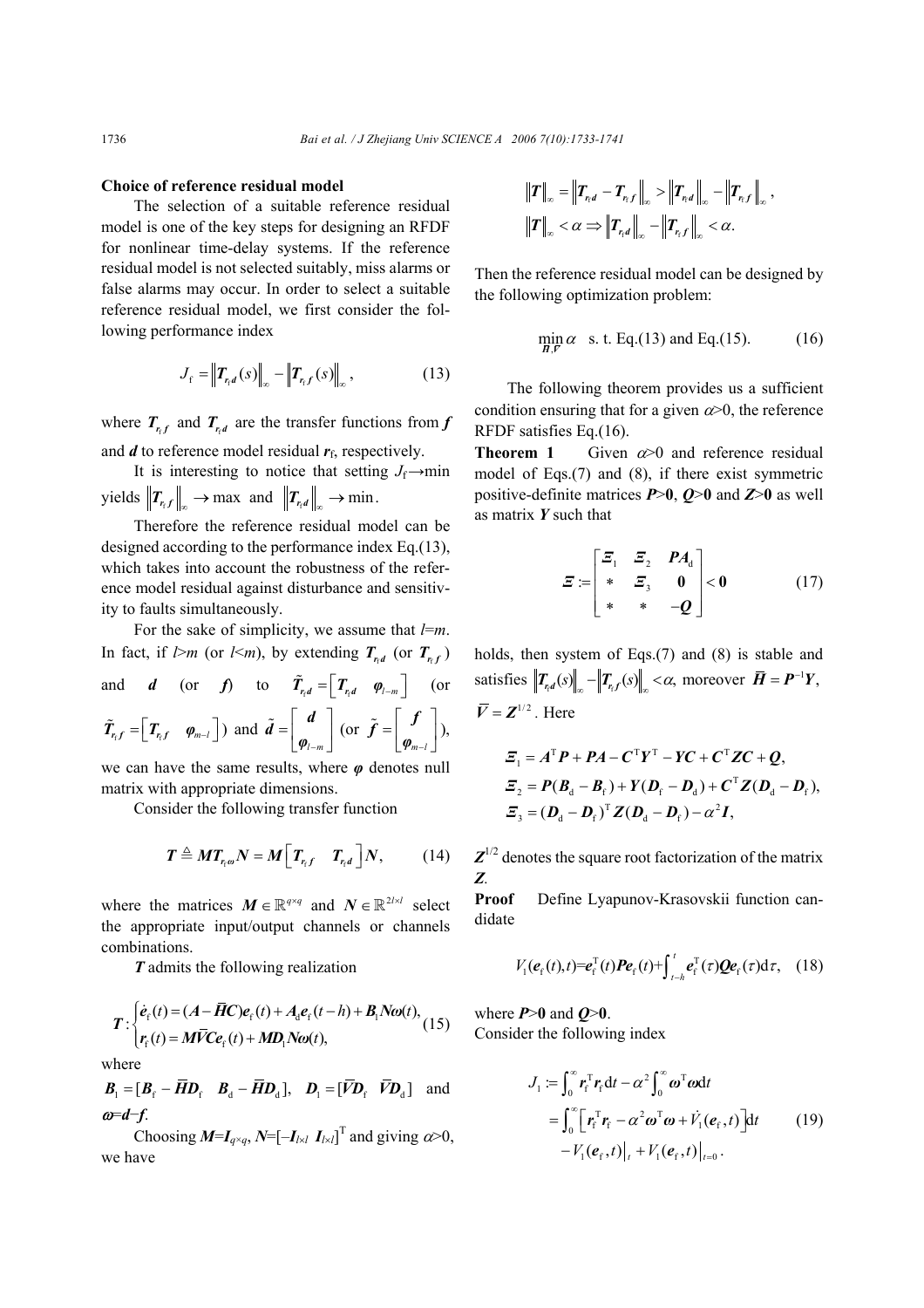#### **Choice of reference residual model**

The selection of a suitable reference residual model is one of the key steps for designing an RFDF for nonlinear time-delay systems. If the reference residual model is not selected suitably, miss alarms or false alarms may occur. In order to select a suitable reference residual model, we first consider the following performance index

$$
J_{\rm f} = \left\| \bm{T}_{r_{\rm f}d}(s) \right\|_{\infty} - \left\| \bm{T}_{r_{\rm f}f}(s) \right\|_{\infty},\tag{13}
$$

where  $T_{ref}$  and  $T_{ref}$  are the transfer functions from  $f$ and  $d$  to reference model residual  $r_f$ , respectively.

It is interesting to notice that setting  $J_f \rightarrow min$ yields  $||T_{r,f}||_{\infty} \to \max$  and  $||T_{r,d}||_{\infty} \to \min$ .

Therefore the reference residual model can be designed according to the performance index Eq.(13), which takes into account the robustness of the reference model residual against disturbance and sensitivity to faults simultaneously.

For the sake of simplicity, we assume that *l*=*m*. In fact, if  $l>m$  (or  $l\leq m$ ), by extending  $T_{rd}$  (or  $T_{ref}$ ) and *d* (or *f*) to  $\tilde{T}_{rd} = \begin{bmatrix} T_{rd} & \varphi_{l-m} \end{bmatrix}$  (or  $\tilde{T}_{r,f} = \begin{bmatrix} T_{r,f} & \varphi_{m-l} \end{bmatrix}$  and  $\tilde{d} = \begin{bmatrix} d \\ \varphi_{l-m} \end{bmatrix}$  (or  $\tilde{\boldsymbol{f}} = \begin{bmatrix} f \\ \boldsymbol{\varphi}_{m-l} \end{bmatrix}$ ),

we can have the same results, where *φ* denotes null matrix with appropriate dimensions.

Consider the following transfer function

$$
T \triangleq MT_{r_{t}\omega}N = M\Big[T_{r_{t}f} \quad T_{r_{t}d}\Big]N, \qquad (14)
$$

where the matrices  $M \in \mathbb{R}^{q \times q}$  and  $N \in \mathbb{R}^{2l \times l}$  select the appropriate input/output channels or channels combinations.

*T* admits the following realization

$$
T: \begin{cases} \dot{e}_{\rm f}(t) = (A - \overline{H}C)e_{\rm f}(t) + A_{\rm d}e_{\rm f}(t-h) + B_{\rm l}N\omega(t), \\ r_{\rm f}(t) = M\overline{V}Ce_{\rm f}(t) + M\omega_{\rm l}N\omega(t), \end{cases} (15)
$$

where

 $\boldsymbol{B}_1 = [\boldsymbol{B}_c - \overline{\boldsymbol{H}} \boldsymbol{D}_c \quad \boldsymbol{B}_A - \overline{\boldsymbol{H}} \boldsymbol{D}_A], \quad \boldsymbol{D}_1 = [\overline{V} \boldsymbol{D}_c \quad \overline{V} \boldsymbol{D}_A]$  and <sup>ω</sup>=*d*−*f*.

Choosing  $M=I_{q\times q}$ ,  $N=[-I_{l\times l} \ I_{l\times l}]^T$  and giving  $\alpha > 0$ , we have

$$
\begin{aligned}\n\|T\|_{\infty} &= \left\|T_{r_t d} - T_{r_t f}\right\|_{\infty} > \left\|T_{r_t d}\right\|_{\infty} - \left\|T_{r_t f}\right\|_{\infty}, \\
\|T\|_{\infty} < \alpha \Rightarrow \left\|T_{r_t d}\right\|_{\infty} - \left\|T_{r_t f}\right\|_{\infty} < \alpha.\n\end{aligned}
$$

Then the reference residual model can be designed by the following optimization problem:

$$
\min_{\overline{H}, \overline{V}} \alpha \quad \text{s. t. Eq.(13) and Eq.(15).} \tag{16}
$$

The following theorem provides us a sufficient condition ensuring that for a given  $\alpha$  >0, the reference RFDF satisfies Eq.(16).

**Theorem 1** Given  $\alpha$  > 0 and reference residual model of Eqs.(7) and (8), if there exist symmetric positive-definite matrices *P*>**0**, *Q*>**0** and *Z*>**0** as well as matrix *Y* such that

$$
\mathcal{Z} := \begin{bmatrix} \mathcal{Z}_1 & \mathcal{Z}_2 & P A_d \\ * & \mathcal{Z}_3 & 0 \\ * & * & -Q \end{bmatrix} < 0 \tag{17}
$$

holds, then system of Eqs.(7) and (8) is stable and satisfies  $\left\| T_{rd}(s) \right\|_{\infty} - \left\| T_{rf}(s) \right\|_{\infty} < \alpha$ , moreover  $\overline{H} = P^{-1}Y$ ,  $\overline{V} = Z^{1/2}$ . Here

$$
\mathbf{\Xi}_{1} = A^{\mathrm{T}} P + P A - C^{\mathrm{T}} Y^{\mathrm{T}} - Y C + C^{\mathrm{T}} Z C + Q,
$$
\n
$$
\mathbf{\Xi}_{2} = P (B_{\mathrm{d}} - B_{\mathrm{f}}) + Y (D_{\mathrm{f}} - D_{\mathrm{d}}) + C^{\mathrm{T}} Z (D_{\mathrm{d}} - D_{\mathrm{f}}),
$$
\n
$$
\mathbf{\Xi}_{3} = (D_{\mathrm{d}} - D_{\mathrm{f}})^{\mathrm{T}} Z (D_{\mathrm{d}} - D_{\mathrm{f}}) - \alpha^{2} I,
$$

 $Z^{1/2}$  denotes the square root factorization of the matrix *Z.*

**Proof** Define Lyapunov-Krasovskii function candidate

$$
V_1(e_f(t),t)=e_f^T(t)Pe_f(t)+\int_{t-h}^t e_f^T(\tau)\mathbf{Q}e_f(\tau)\mathrm{d}\tau,\quad(18)
$$

where  $P > 0$  and  $Q > 0$ . Consider the following index

$$
J_1 := \int_0^\infty \boldsymbol{r}_f \boldsymbol{r}_f dt - \alpha^2 \int_0^\infty \boldsymbol{\omega}^T \boldsymbol{\omega} dt
$$
  
\n
$$
= \int_0^\infty \Big[ \boldsymbol{r}_f \boldsymbol{r}_f - \alpha^2 \boldsymbol{\omega}^T \boldsymbol{\omega} + \dot{V}_1(\boldsymbol{e}_f, t) \Big] dt \qquad (19)
$$
  
\n
$$
-V_1(\boldsymbol{e}_f, t) \Big|_t + V_1(\boldsymbol{e}_f, t) \Big|_{t=0} .
$$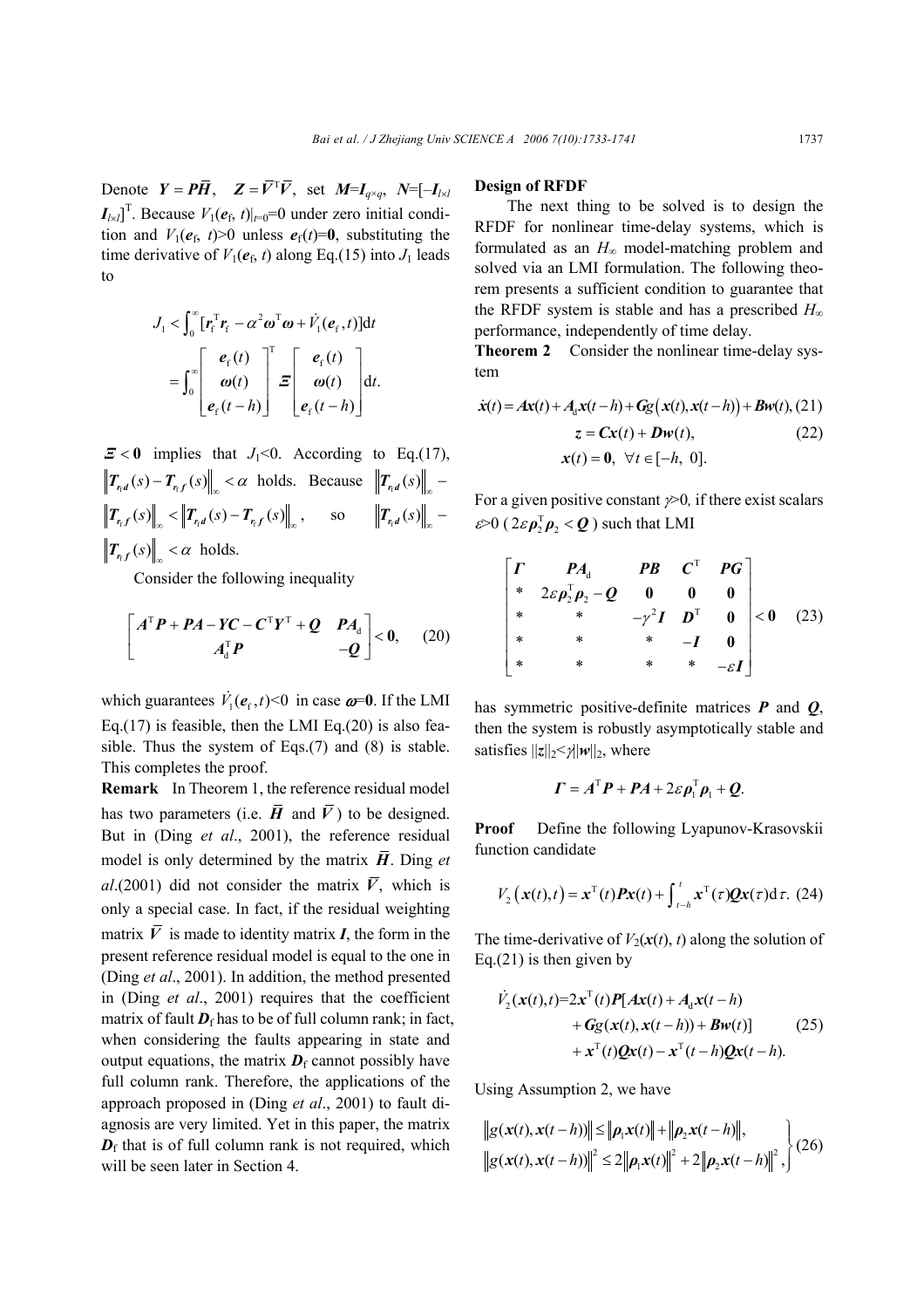Denote  $Y = P\overline{H}$ ,  $Z = \overline{V}^T \overline{V}$ , set  $M = I_{q \times q}$ ,  $N = [-I_{l \times l}]$  $I_{l \times l}$ <sup>T</sup>. Because  $V_1(e_f, t)|_{t=0}=0$  under zero initial condition and  $V_1(e_f, t) > 0$  unless  $e_f(t) = 0$ , substituting the time derivative of  $V_1(e_f, t)$  along Eq.(15) into  $J_1$  leads to

$$
J_1 < \int_0^{\infty} \left[ \mathbf{r}_f^{\mathrm{T}} \mathbf{r}_f - \alpha^2 \boldsymbol{\omega}^{\mathrm{T}} \boldsymbol{\omega} + \dot{V}_1(\boldsymbol{e}_f, t) \right] dt
$$
  
= 
$$
\int_0^{\infty} \left[ \begin{array}{c} \boldsymbol{e}_f(t) \\ \boldsymbol{\omega}(t) \\ \boldsymbol{e}_f(t-h) \end{array} \right]^{\mathrm{T}} \boldsymbol{\Xi} \left[ \begin{array}{c} \boldsymbol{e}_f(t) \\ \boldsymbol{\omega}(t) \\ \boldsymbol{e}_f(t-h) \end{array} \right] dt.
$$

 $\mathbf{E} < 0$  implies that *J*<sub>1</sub><0. According to Eq.(17),  $\left\| T_{r,d}(s) - T_{r,f}(s) \right\|_{\infty} < \alpha$  holds. Because  $\left\| T_{r,d}(s) \right\|_{\infty}$  –  $\left\| T_{r_1 f}(s) \right\|_{\infty} < \left\| T_{r_1 d}(s) - T_{r_1 f}(s) \right\|_{\infty}$ , so  $\left\| T_{r_1 d}(s) \right\|_{\infty} \left\| T_{r_f}(s) \right\|_{\infty} < \alpha$  holds.

Consider the following inequality

$$
\begin{bmatrix} A^{\mathrm{T}} P + P A - Y C - C^{\mathrm{T}} Y^{\mathrm{T}} + Q & P A_{\mathrm{d}} \\ A_{\mathrm{d}}^{\mathrm{T}} P & -Q \end{bmatrix} < 0, \quad (20)
$$

which guarantees  $\dot{V}_1(e_f, t) \le 0$  in case  $\omega = 0$ . If the LMI Eq.(17) is feasible, then the LMI Eq.(20) is also feasible. Thus the system of Eqs.(7) and (8) is stable. This completes the proof.

**Remark** In Theorem 1, the reference residual model has two parameters (i.e.  $\overline{H}$  and  $\overline{V}$ ) to be designed. But in (Ding *et al*., 2001), the reference residual model is only determined by the matrix  $\vec{H}$ . Ding *et al*.(2001) did not consider the matrix  $\overline{V}$ , which is only a special case. In fact, if the residual weighting matrix  $\overline{V}$  is made to identity matrix *I*, the form in the present reference residual model is equal to the one in (Ding *et al*., 2001). In addition, the method presented in (Ding *et al*., 2001) requires that the coefficient matrix of fault  $D_f$  has to be of full column rank; in fact, when considering the faults appearing in state and output equations, the matrix  $\mathbf{D}_f$  cannot possibly have full column rank. Therefore, the applications of the approach proposed in (Ding *et al*., 2001) to fault diagnosis are very limited. Yet in this paper, the matrix  $D_f$  that is of full column rank is not required, which will be seen later in Section 4.

#### **Design of RFDF**

The next thing to be solved is to design the RFDF for nonlinear time-delay systems, which is formulated as an *H*∞ model-matching problem and solved via an LMI formulation. The following theorem presents a sufficient condition to guarantee that the RFDF system is stable and has a prescribed *H*<sup>∞</sup> performance, independently of time delay.

**Theorem 2** Consider the nonlinear time-delay system

$$
\dot{\mathbf{x}}(t) = A\mathbf{x}(t) + A_d \mathbf{x}(t-h) + Gg(\mathbf{x}(t), \mathbf{x}(t-h)) + B\mathbf{w}(t), (21)
$$
  

$$
z = C\mathbf{x}(t) + D\mathbf{w}(t), \qquad (22)
$$
  

$$
\mathbf{x}(t) = \mathbf{0}, \quad \forall t \in [-h, 0].
$$

For a given positive constant <sup>γ</sup>>0*,* if there exist scalars  $\epsilon > 0$  (2 $\epsilon \rho^T$ ,  $\rho$ ,  $\epsilon Q$ ) such that LMI

$$
\begin{bmatrix}\n\Gamma & P A_{d} & P B & C^T & P G \\
* & 2\varepsilon \rho_2^T \rho_2 - Q & 0 & 0 & 0 \\
* & * & -\gamma^2 I & D^T & 0 \\
* & * & * & -I & 0 \\
* & * & * & * & -\varepsilon I\n\end{bmatrix} < 0
$$
 (23)

has symmetric positive-definite matrices *P* and *Q*, then the system is robustly asymptotically stable and satisfies  $||z||_2 < \gamma ||w||_2$ , where

$$
\boldsymbol{\Gamma} = \boldsymbol{A}^{\mathrm{T}} \boldsymbol{P} + \boldsymbol{P} \boldsymbol{A} + 2 \boldsymbol{\varepsilon} \boldsymbol{\rho}_{1}^{\mathrm{T}} \boldsymbol{\rho}_{1} + \boldsymbol{Q}.
$$

**Proof** Define the following Lyapunov-Krasovskii function candidate

$$
V_2\big(\mathbf{x}(t),t\big) = \mathbf{x}^{\mathrm{T}}(t)\mathbf{P}\mathbf{x}(t) + \int_{t-h}^{t} \mathbf{x}^{\mathrm{T}}(\tau)\mathbf{Q}\mathbf{x}(\tau)\mathrm{d}\tau. \tag{24}
$$

The time-derivative of  $V_2(x(t), t)$  along the solution of Eq. $(21)$  is then given by

$$
\dot{V}_2(\mathbf{x}(t),t)=2\mathbf{x}^{\mathrm{T}}(t)\boldsymbol{P}[\boldsymbol{A}\mathbf{x}(t)+\boldsymbol{A}_d\mathbf{x}(t-h)+\boldsymbol{G}g(\mathbf{x}(t),\mathbf{x}(t-h))+\boldsymbol{B}\boldsymbol{w}(t)]
$$
(25)  
+\mathbf{x}^{\mathrm{T}}(t)\boldsymbol{Q}\mathbf{x}(t)-\mathbf{x}^{\mathrm{T}}(t-h)\boldsymbol{Q}\mathbf{x}(t-h).

Using Assumption 2, we have

$$
\|g(x(t), x(t-h))\| \le \|p_1 x(t)\| + \|p_2 x(t-h)\|,
$$
  

$$
\|g(x(t), x(t-h))\|^2 \le 2\|p_1 x(t)\|^2 + 2\|p_2 x(t-h)\|^2,
$$
 (26)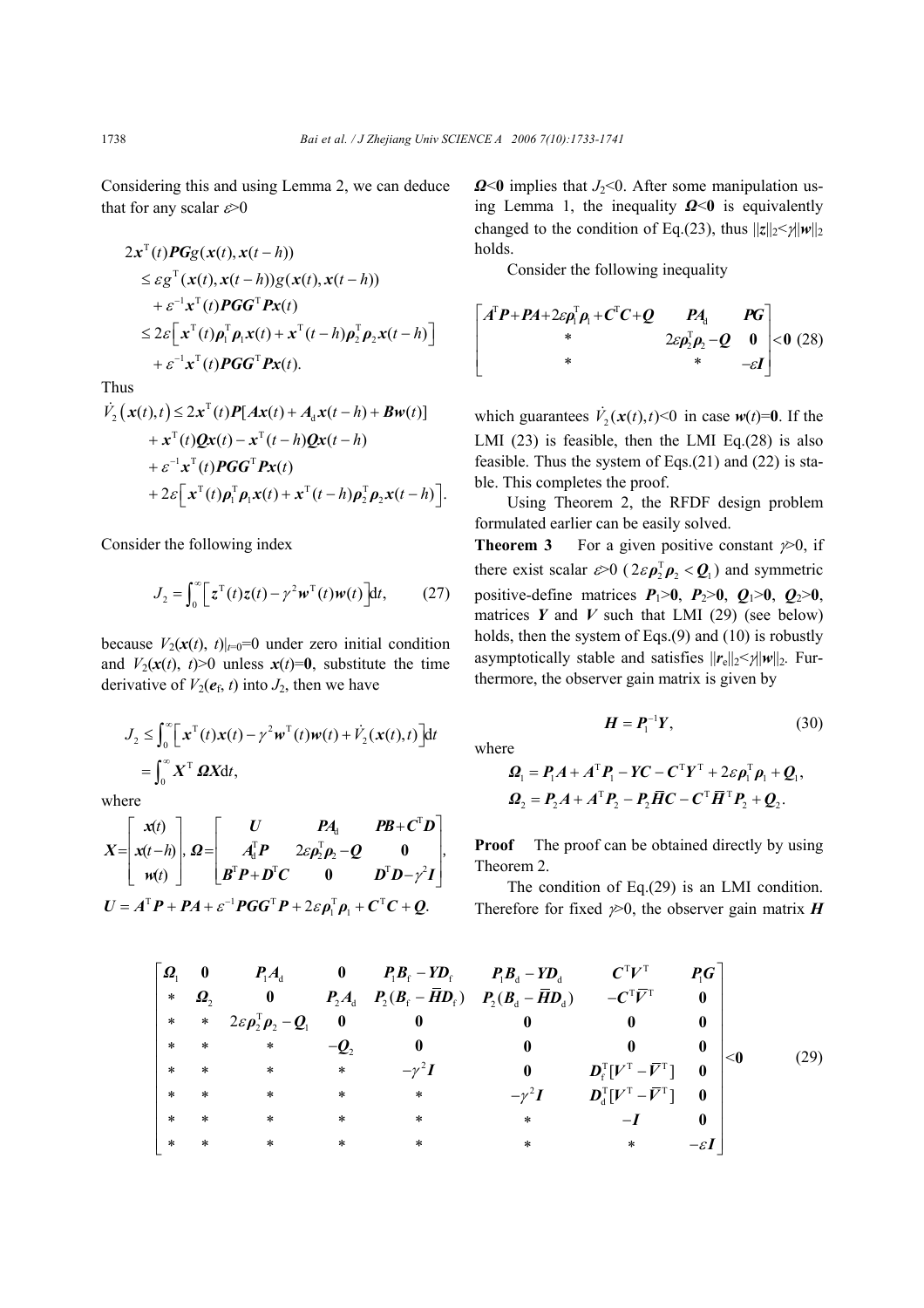Considering this and using Lemma 2, we can deduce that for any scalar  $\varepsilon > 0$ 

$$
2x^{T}(t)PGg(x(t), x(t-h))
$$
  
\n
$$
\leq \varepsilon g^{T}(x(t), x(t-h))g(x(t), x(t-h))
$$
  
\n
$$
+ \varepsilon^{-1}x^{T}(t)PGG^{T}Px(t)
$$
  
\n
$$
\leq 2\varepsilon \Big[x^{T}(t)\rho_{1}^{T}\rho_{1}x(t) + x^{T}(t-h)\rho_{2}^{T}\rho_{2}x(t-h)\Big]
$$
  
\n
$$
+ \varepsilon^{-1}x^{T}(t)PGG^{T}Px(t).
$$

Thus

$$
\dot{V}_2(x(t),t) \leq 2x^{\mathrm{T}}(t)P[Ax(t) + A_d x(t-h) + Bw(t)]
$$
  
+  $x^{\mathrm{T}}(t)Qx(t) - x^{\mathrm{T}}(t-h)Qx(t-h)$   
+  $\varepsilon^{-1}x^{\mathrm{T}}(t)PGG^{\mathrm{T}}Px(t)$   
+  $2\varepsilon[x^{\mathrm{T}}(t)\rho_{\mathrm{T}}^{\mathrm{T}}\rho_{\mathrm{T}}x(t) + x^{\mathrm{T}}(t-h)\rho_{2}^{\mathrm{T}}\rho_{2}x(t-h)].$ 

Consider the following index

$$
J_2 = \int_0^\infty \left[ z^{\mathrm{T}}(t)z(t) - \gamma^2 \boldsymbol{w}^{\mathrm{T}}(t) \boldsymbol{w}(t) \right] dt, \qquad (27)
$$

because  $V_2(\mathbf{x}(t), t)|_{t=0} = 0$  under zero initial condition and  $V_2(\mathbf{x}(t), t) > 0$  unless  $\mathbf{x}(t) = 0$ , substitute the time derivative of  $V_2(e_f, t)$  into  $J_2$ , then we have

$$
J_2 \leq \int_0^\infty \left[ \mathbf{x}^{\mathrm{T}}(t) \mathbf{x}(t) - \gamma^2 \mathbf{w}^{\mathrm{T}}(t) \mathbf{w}(t) + \dot{V}_2(\mathbf{x}(t), t) \right] dt
$$
  
= 
$$
\int_0^\infty \mathbf{X}^{\mathrm{T}} \mathbf{\Omega} \mathbf{X} dt,
$$

where

$$
X = \begin{bmatrix} x(t) \\ x(t-h) \\ w(t) \end{bmatrix}, \ Q = \begin{bmatrix} U & PA_1 & PB + C^{\mathrm{T}} D \\ A_1^{\mathrm{T}}P & 2\varepsilon\rho_2^{\mathrm{T}}\rho_2 - Q & 0 \\ B^{\mathrm{T}}P + D^{\mathrm{T}}C & 0 & D^{\mathrm{T}}D - \gamma^2 I \end{bmatrix},
$$
  

$$
U = A^{\mathrm{T}}P + PA + \varepsilon^{-1}PGG^{\mathrm{T}}P + 2\varepsilon\rho_1^{\mathrm{T}}\rho_1 + C^{\mathrm{T}}C + Q.
$$

*Ω*<0 implies that *J*<sub>2</sub><0. After some manipulation using Lemma 1, the inequality *Ω*<**0** is equivalently changed to the condition of Eq.(23), thus  $||z||_2 < \gamma ||w||_2$ holds.

Consider the following inequality

$$
\begin{bmatrix} A^{\text{T}}P + PA + 2\varepsilon \rho_1^{\text{T}} \rho_1 + C^{\text{T}}C + Q & PA_1 & PG \\ * & 2\varepsilon \rho_2^{\text{T}} \rho_2 - Q & 0 \\ * & * & -\varepsilon I \end{bmatrix} < 0 \quad (28)
$$

which guarantees  $\dot{V}_2(x(t), t) \le 0$  in case  $w(t) = 0$ . If the LMI  $(23)$  is feasible, then the LMI Eq. $(28)$  is also feasible. Thus the system of Eqs.(21) and (22) is stable. This completes the proof.

Using Theorem 2, the RFDF design problem formulated earlier can be easily solved.

**Theorem 3** For a given positive constant  $\gamma \geq 0$ , if there exist scalar  $\varepsilon > 0$  ( $2\varepsilon \rho_2^T \rho_2 < Q_1$ ) and symmetric positive-define matrices  $P_1>0$ ,  $P_2>0$ ,  $Q_1>0$ ,  $Q_2>0$ , matrices  $Y$  and  $V$  such that LMI (29) (see below) holds, then the system of Eqs.(9) and (10) is robustly asymptotically stable and satisfies  $||r_{e}||_{2} \leq \gamma ||w||_{2}$ . Furthermore, the observer gain matrix is given by

$$
H = P_1^{-1}Y, \tag{30}
$$

where

$$
\mathbf{\Omega}_{1} = \mathbf{P}_{1}A + A^{\mathrm{T}}\mathbf{P}_{1} - YC - C^{\mathrm{T}}Y^{\mathrm{T}} + 2\varepsilon\rho_{1}^{\mathrm{T}}\rho_{1} + \mathbf{Q}_{1},
$$
  

$$
\mathbf{\Omega}_{2} = \mathbf{P}_{2}A + A^{\mathrm{T}}\mathbf{P}_{2} - \mathbf{P}_{2}\overline{H}C - C^{\mathrm{T}}\overline{H}^{\mathrm{T}}\mathbf{P}_{2} + \mathbf{Q}_{2}.
$$

**Proof** The proof can be obtained directly by using Theorem 2.

The condition of Eq.(29) is an LMI condition. Therefore for fixed  $\gamma \geq 0$ , the observer gain matrix *H* 

$$
\begin{bmatrix} \mathbf{\Omega}_{\text{I}} & \mathbf{0} & \mathbf{P}_{\text{I}}\mathbf{\Lambda}_{\text{d}} & \mathbf{0} & \mathbf{P}_{\text{I}}\mathbf{\mathbf{B}}_{\text{r}} - \mathbf{Y}\mathbf{D}_{\text{r}} & \mathbf{P}_{\text{I}}\mathbf{\mathbf{B}}_{\text{d}} - \mathbf{Y}\mathbf{\mathbf{D}}_{\text{d}} & \mathbf{C}^{\text{T}}\mathbf{\mathbf{V}}^{\text{T}} & \mathbf{\mathbf{P}_{\text{I}}}\mathbf{G} \\ * & \mathbf{\Omega}_{2} & \mathbf{0} & \mathbf{P}_{2}\mathbf{\mathbf{\Lambda}}_{\text{d}} & \mathbf{P}_{2}(\mathbf{\mathbf{\mathbf{B}}}_{\text{f}} - \mathbf{\mathbf{\mathbf{\mathbf{\mathbf{H}}}}\mathbf{D}_{\text{f}}) & \mathbf{P}_{2}(\mathbf{\mathbf{\mathbf{\mathbf{B}}}_{\text{d}} - \mathbf{\mathbf{\mathbf{\mathbf{\mathbf{H}}}}\mathbf{D}_{\text{d}}}) & -\mathbf{C}^{\text{T}}\mathbf{\mathbf{\mathbf{\mathbf{V}}}^{\text{T}}} & \mathbf{0} \\ * & * & 2\varepsilon\mathbf{\mathbf{\mathbf{\mathbf{\mathbf{p}}}^{\text{T}}}_{2}\mathbf{\mathbf{\mathbf{\mathbf{p}}}_{2}} - \mathbf{\mathbf{\mathbf{Q}}}_{1} & \mathbf{0} & \mathbf{0} & \mathbf{0} & \mathbf{0} & \mathbf{0} \\ * & * & * & * & -\mathbf{\mathbf{\mathbf{\mathbf{Q}}}_{2}} & \mathbf{0} & \mathbf{0} & \mathbf{0} & \mathbf{0} & \mathbf{0} \\ * & * & * & * & * & * & -\gamma^{2}\mathbf{I} & \mathbf{0} & \mathbf{D}_{\text{f}}^{\text{T}}[\mathbf{\mathbf{\mathbf{V}}}^{\text{T}} - \mathbf{\mathbf{\mathbf{\mathbf{\mathbf{V}}}^{\text{T}}}] & \mathbf{0} \\ * & * & * & * & * & * & -\gamma^{2}\mathbf{I} & \mathbf{D}_{\text{d}}^{\text{T}}[\mathbf{\mathbf{\mathbf{V}}}^{\text{T}} - \mathbf{\mathbf{\mathbf{\mathbf{V}}}^{\text{T}}] & \mathbf{0} \\ * & * & * & * & * & * & -
$$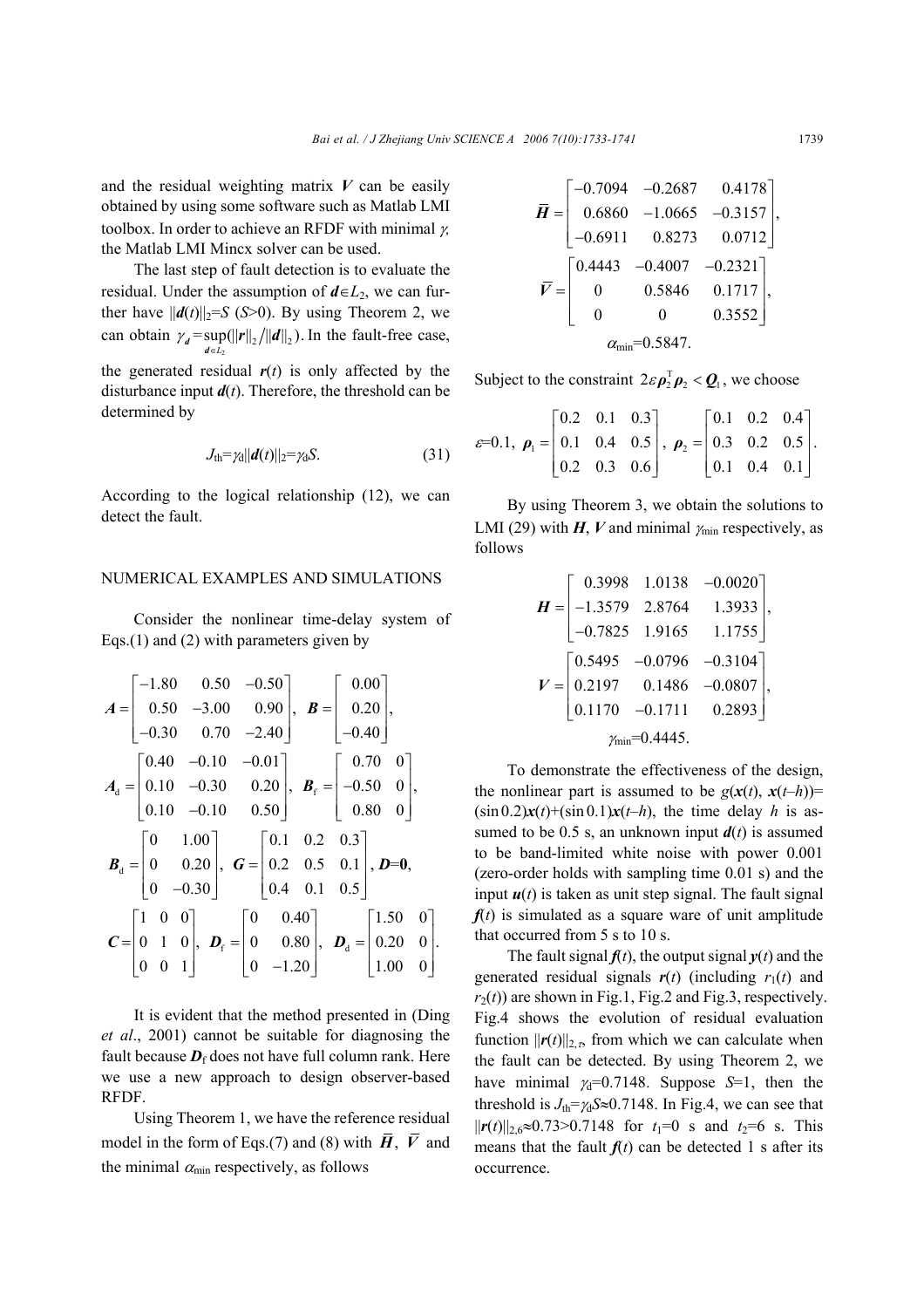and the residual weighting matrix *V* can be easily obtained by using some software such as Matlab LMI toolbox. In order to achieve an RFDF with minimal γ*,* the Matlab LMI Mincx solver can be used.

The last step of fault detection is to evaluate the residual. Under the assumption of  $d \in L_2$ , we can further have  $||\boldsymbol{d}(t)||_2 = S$  (*S*>0). By using Theorem 2, we can obtain  $\gamma_d = \sup_{d \in L_2} (||\mathbf{r}||_2 / ||\mathbf{d}||_2)$ . In the fault-free case,

the generated residual  $r(t)$  is only affected by the disturbance input  $d(t)$ . Therefore, the threshold can be determined by

$$
J_{\text{th}} = \gamma_{\text{d}} ||d(t)||_2 = \gamma_{\text{d}} S. \tag{31}
$$

According to the logical relationship (12), we can detect the fault.

## NUMERICAL EXAMPLES AND SIMULATIONS

Consider the nonlinear time-delay system of Eqs.(1) and (2) with parameters given by

$$
A = \begin{bmatrix} -1.80 & 0.50 & -0.50 \\ 0.50 & -3.00 & 0.90 \\ -0.30 & 0.70 & -2.40 \end{bmatrix}, B = \begin{bmatrix} 0.00 \\ 0.20 \\ -0.40 \end{bmatrix},
$$
  
\n
$$
A_{d} = \begin{bmatrix} 0.40 & -0.10 & -0.01 \\ 0.10 & -0.30 & 0.20 \\ 0.10 & -0.10 & 0.50 \end{bmatrix}, B_{f} = \begin{bmatrix} 0.70 & 0 \\ -0.50 & 0 \\ 0.80 & 0 \end{bmatrix},
$$
  
\n
$$
B_{d} = \begin{bmatrix} 0 & 1.00 \\ 0 & 0.20 \\ 0 & -0.30 \end{bmatrix}, G = \begin{bmatrix} 0.1 & 0.2 & 0.3 \\ 0.2 & 0.5 & 0.1 \\ 0.4 & 0.1 & 0.5 \end{bmatrix}, D = 0,
$$
  
\n
$$
C = \begin{bmatrix} 1 & 0 & 0 \\ 0 & 1 & 0 \\ 0 & 0 & 1 \end{bmatrix}, D_{f} = \begin{bmatrix} 0 & 0.40 \\ 0 & 0.80 \\ 0 & -1.20 \end{bmatrix}, D_{d} = \begin{bmatrix} 1.50 & 0 \\ 0.20 & 0 \\ 1.00 & 0 \end{bmatrix}.
$$

It is evident that the method presented in (Ding *et al*., 2001) cannot be suitable for diagnosing the fault because  $D_f$  does not have full column rank. Here we use a new approach to design observer-based RFDF.

Using Theorem 1, we have the reference residual model in the form of Eqs.(7) and (8) with  $\overline{H}$ ,  $\overline{V}$  and the minimal  $\alpha_{\min}$  respectively, as follows

$$
\vec{H} = \begin{bmatrix}\n-0.7094 & -0.2687 & 0.4178 \\
0.6860 & -1.0665 & -0.3157 \\
-0.6911 & 0.8273 & 0.0712\n\end{bmatrix},
$$
\n
$$
\vec{V} = \begin{bmatrix}\n0.4443 & -0.4007 & -0.2321 \\
0 & 0.5846 & 0.1717 \\
0 & 0 & 0.3552\n\end{bmatrix},
$$
\n
$$
\alpha_{\text{min}} = 0.5847.
$$

Subject to the constraint  $2\varepsilon \rho_2^T \rho_2 < Q_1$ , we choose

$$
\varepsilon=0.1, \ \pmb{\rho}_1=\begin{bmatrix} 0.2 & 0.1 & 0.3 \\ 0.1 & 0.4 & 0.5 \\ 0.2 & 0.3 & 0.6 \end{bmatrix}, \ \pmb{\rho}_2=\begin{bmatrix} 0.1 & 0.2 & 0.4 \\ 0.3 & 0.2 & 0.5 \\ 0.1 & 0.4 & 0.1 \end{bmatrix}.
$$

By using Theorem 3, we obtain the solutions to LMI (29) with *H*, *V* and minimal  $\gamma_{\text{min}}$  respectively, as follows

$$
\boldsymbol{H} = \begin{bmatrix} 0.3998 & 1.0138 & -0.0020 \\ -1.3579 & 2.8764 & 1.3933 \\ -0.7825 & 1.9165 & 1.1755 \end{bmatrix},
$$

$$
\boldsymbol{V} = \begin{bmatrix} 0.5495 & -0.0796 & -0.3104 \\ 0.2197 & 0.1486 & -0.0807 \\ 0.1170 & -0.1711 & 0.2893 \end{bmatrix},
$$

$$
\gamma_{\text{min}} = 0.4445.
$$

To demonstrate the effectiveness of the design, the nonlinear part is assumed to be  $g(x(t), x(t-h))$ =  $(\sin 0.2)x(t)+( \sin 0.1)x(t-h)$ , the time delay *h* is assumed to be 0.5 s, an unknown input  $d(t)$  is assumed to be band-limited white noise with power 0.001 (zero-order holds with sampling time 0.01 s) and the input  $u(t)$  is taken as unit step signal. The fault signal  $f(t)$  is simulated as a square ware of unit amplitude that occurred from 5 s to 10 s.

The fault signal  $f(t)$ , the output signal  $y(t)$  and the generated residual signals  $r(t)$  (including  $r_1(t)$  and  $r_2(t)$  are shown in Fig.1, Fig.2 and Fig.3, respectively. Fig.4 shows the evolution of residual evaluation function  $||r(t)||_{2,t}$  from which we can calculate when the fault can be detected. By using Theorem 2, we have minimal  $\gamma_d$ =0.7148. Suppose *S*=1, then the threshold is  $J_{\text{th}} = \gamma_d S \approx 0.7148$ . In Fig.4, we can see that  $||\mathbf{r}(t)||_{2,6} \approx 0.73 > 0.7148$  for  $t_1=0$  s and  $t_2=6$  s. This means that the fault  $f(t)$  can be detected 1 s after its occurrence.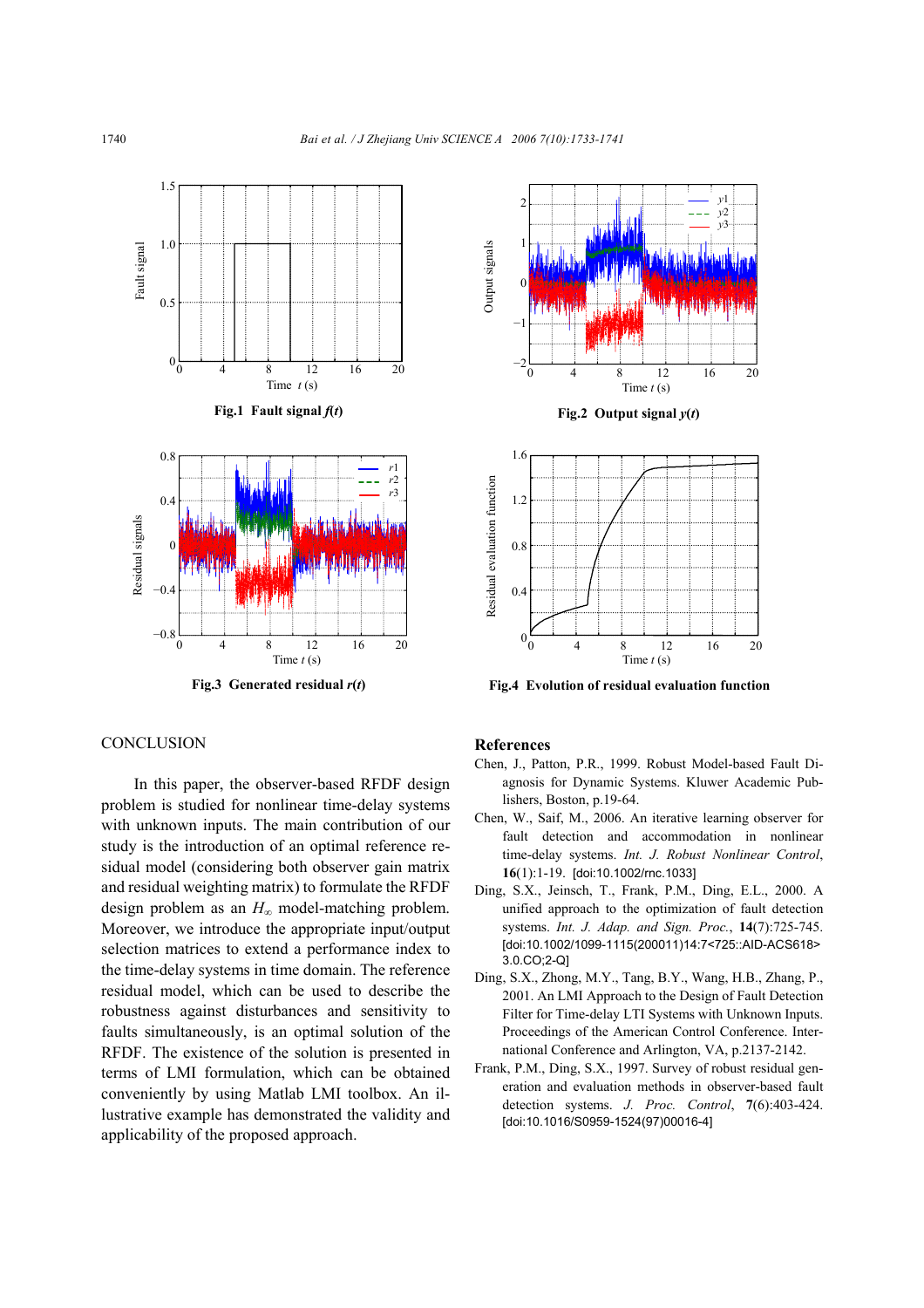

**Fig.3 Generated residual** *r***(***t***)**

# **CONCLUSION**

In this paper, the observer-based RFDF design problem is studied for nonlinear time-delay systems with unknown inputs. The main contribution of our study is the introduction of an optimal reference residual model (considering both observer gain matrix and residual weighting matrix) to formulate the RFDF design problem as an *H*∞ model-matching problem. Moreover, we introduce the appropriate input/output selection matrices to extend a performance index to the time-delay systems in time domain. The reference residual model, which can be used to describe the robustness against disturbances and sensitivity to faults simultaneously, is an optimal solution of the RFDF. The existence of the solution is presented in terms of LMI formulation, which can be obtained conveniently by using Matlab LMI toolbox. An illustrative example has demonstrated the validity and applicability of the proposed approach.



**Fig.4 Evolution of residual evaluation function**

#### **References**

- Chen, J., Patton, P.R., 1999. Robust Model-based Fault Diagnosis for Dynamic Systems. Kluwer Academic Publishers, Boston, p.19-64.
- Chen, W., Saif, M., 2006. An iterative learning observer for fault detection and accommodation in nonlinear time-delay systems. *Int. J. Robust Nonlinear Control*, **16**(1):1-19. [doi:10.1002/rnc.1033]
- Ding, S.X., Jeinsch, T., Frank, P.M., Ding, E.L., 2000. A unified approach to the optimization of fault detection systems. *Int. J. Adap. and Sign. Proc.*, **14**(7):725-745. [doi:10.1002/1099-1115(200011)14:7<725::AID-ACS618> 3.0.CO;2-Q]
- Ding, S.X., Zhong, M.Y., Tang, B.Y., Wang, H.B., Zhang, P., 2001. An LMI Approach to the Design of Fault Detection Filter for Time-delay LTI Systems with Unknown Inputs. Proceedings of the American Control Conference. International Conference and Arlington, VA, p.2137-2142.
- Frank, P.M., Ding, S.X., 1997. Survey of robust residual generation and evaluation methods in observer-based fault detection systems. *J. Proc. Control*, **7**(6):403-424. [doi:10.1016/S0959-1524(97)00016-4]